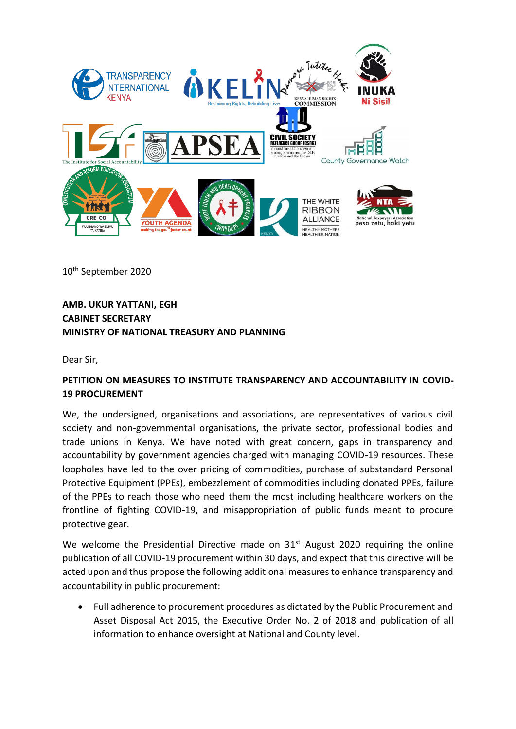

10th September 2020

**AMB. UKUR YATTANI, EGH CABINET SECRETARY MINISTRY OF NATIONAL TREASURY AND PLANNING** 

Dear Sir,

## **PETITION ON MEASURES TO INSTITUTE TRANSPARENCY AND ACCOUNTABILITY IN COVID-19 PROCUREMENT**

We, the undersigned, organisations and associations, are representatives of various civil society and non-governmental organisations, the private sector, professional bodies and trade unions in Kenya. We have noted with great concern, gaps in transparency and accountability by government agencies charged with managing COVID-19 resources. These loopholes have led to the over pricing of commodities, purchase of substandard Personal Protective Equipment (PPEs), embezzlement of commodities including donated PPEs, failure of the PPEs to reach those who need them the most including healthcare workers on the frontline of fighting COVID-19, and misappropriation of public funds meant to procure protective gear.

We welcome the Presidential Directive made on  $31<sup>st</sup>$  August 2020 requiring the online publication of all COVID-19 procurement within 30 days, and expect that this directive will be acted upon and thus propose the following additional measures to enhance transparency and accountability in public procurement:

• Full adherence to procurement procedures as dictated by the Public Procurement and Asset Disposal Act 2015, the Executive Order No. 2 of 2018 and publication of all information to enhance oversight at National and County level.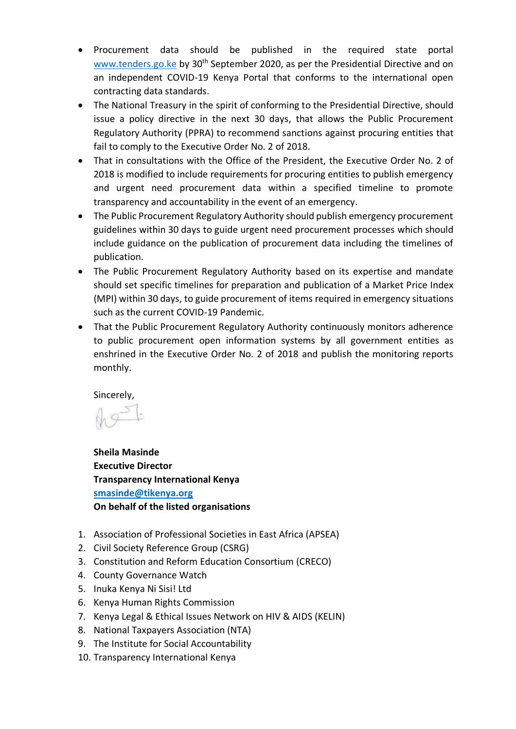- Procurement data should be published in the required state portal [www.tenders.go.ke](http://www.tenders.go.ke/) by 30<sup>th</sup> September 2020, as per the Presidential Directive and on an independent COVID-19 Kenya Portal that conforms to the international open contracting data standards.
- The National Treasury in the spirit of conforming to the Presidential Directive, should issue a policy directive in the next 30 days, that allows the Public Procurement Regulatory Authority (PPRA) to recommend sanctions against procuring entities that fail to comply to the Executive Order No. 2 of 2018.
- That in consultations with the Office of the President, the Executive Order No. 2 of 2018 is modified to include requirements for procuring entities to publish emergency and urgent need procurement data within a specified timeline to promote transparency and accountability in the event of an emergency.
- The Public Procurement Regulatory Authority should publish emergency procurement guidelines within 30 days to guide urgent need procurement processes which should include guidance on the publication of procurement data including the timelines of publication.
- The Public Procurement Regulatory Authority based on its expertise and mandate should set specific timelines for preparation and publication of a Market Price Index (MPI) within 30 days, to guide procurement of items required in emergency situations such as the current COVID-19 Pandemic.
- That the Public Procurement Regulatory Authority continuously monitors adherence to public procurement open information systems by all government entities as enshrined in the Executive Order No. 2 of 2018 and publish the monitoring reports monthly.

Sincerely,

**Sheila Masinde Executive Director Transparency International Kenya [smasinde@tikenya.org](mailto:smasinde@tikenya.org) On behalf of the listed organisations**

- 1. Association of Professional Societies in East Africa (APSEA)
- 2. Civil Society Reference Group (CSRG)
- 3. Constitution and Reform Education Consortium (CRECO)
- 4. County Governance Watch
- 5. Inuka Kenya Ni Sisi! Ltd
- 6. Kenya Human Rights Commission
- 7. Kenya Legal & Ethical Issues Network on HIV & AIDS (KELIN)
- 8. National Taxpayers Association (NTA)
- 9. The Institute for Social Accountability
- 10. Transparency International Kenya